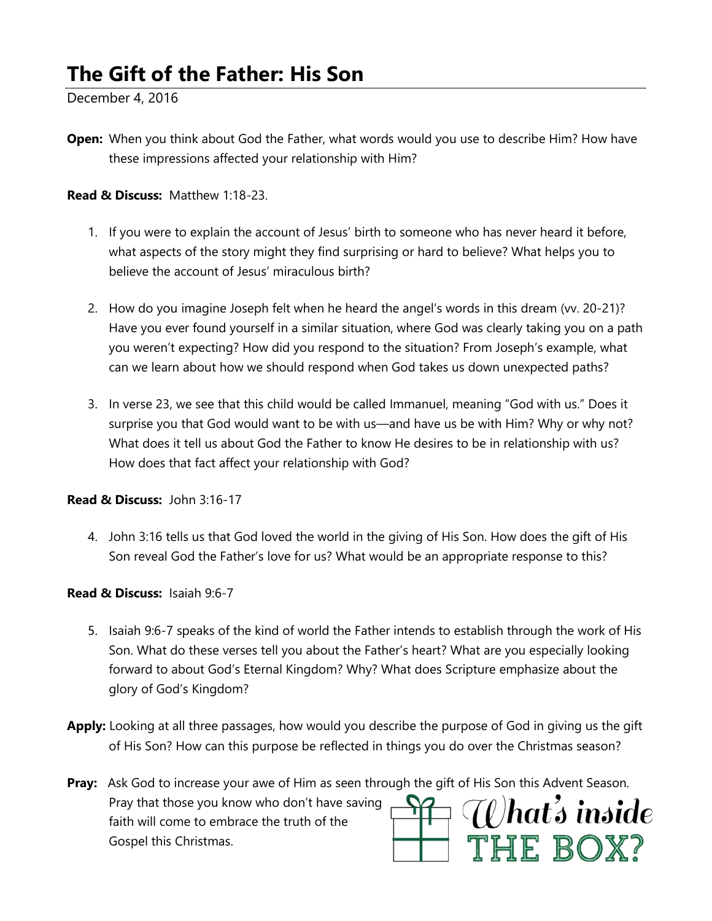# **The Gift of the Father: His Son**

December 4, 2016

**Open:** When you think about God the Father, what words would you use to describe Him? How have these impressions affected your relationship with Him?

#### **Read & Discuss:** Matthew 1:18-23.

- 1. If you were to explain the account of Jesus' birth to someone who has never heard it before, what aspects of the story might they find surprising or hard to believe? What helps you to believe the account of Jesus' miraculous birth?
- 2. How do you imagine Joseph felt when he heard the angel's words in this dream (vv. 20-21)? Have you ever found yourself in a similar situation, where God was clearly taking you on a path you weren't expecting? How did you respond to the situation? From Joseph's example, what can we learn about how we should respond when God takes us down unexpected paths?
- 3. In verse 23, we see that this child would be called Immanuel, meaning "God with us." Does it surprise you that God would want to be with us—and have us be with Him? Why or why not? What does it tell us about God the Father to know He desires to be in relationship with us? How does that fact affect your relationship with God?

**Read & Discuss:** John 3:16-17

4. John 3:16 tells us that God loved the world in the giving of His Son. How does the gift of His Son reveal God the Father's love for us? What would be an appropriate response to this?

#### **Read & Discuss:** Isaiah 9:6-7

- 5. Isaiah 9:6-7 speaks of the kind of world the Father intends to establish through the work of His Son. What do these verses tell you about the Father's heart? What are you especially looking forward to about God's Eternal Kingdom? Why? What does Scripture emphasize about the glory of God's Kingdom?
- **Apply:** Looking at all three passages, how would you describe the purpose of God in giving us the gift of His Son? How can this purpose be reflected in things you do over the Christmas season?

**Pray:** Ask God to increase your awe of Him as seen through the gift of His Son this Advent Season. What's inside Pray that those you know who don't have saving faith will come to embrace the truth of the THE BOX? Gospel this Christmas.